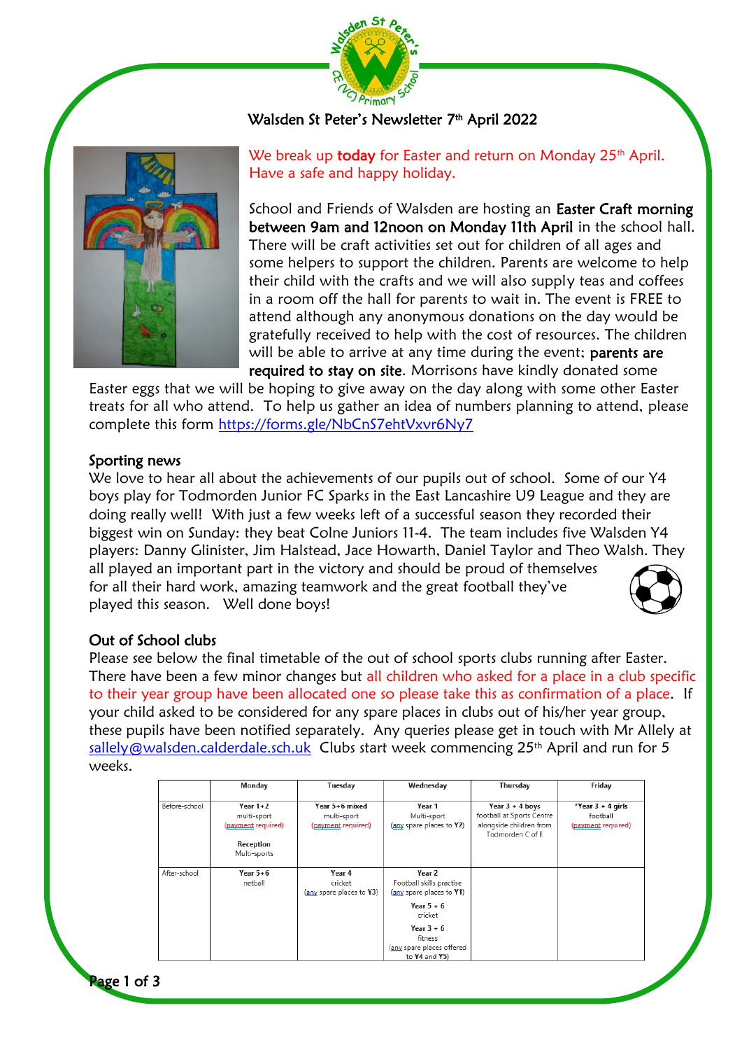

## Walsden St Peter's Newsletter 7<sup>th</sup> April 2022



We break up today for Easter and return on Monday 25<sup>th</sup> April. Have a safe and happy holiday.

School and Friends of Walsden are hosting an Easter Craft morning between 9am and 12noon on Monday 11th April in the school hall. There will be craft activities set out for children of all ages and some helpers to support the children. Parents are welcome to help their child with the crafts and we will also supply teas and coffees in a room off the hall for parents to wait in. The event is FREE to attend although any anonymous donations on the day would be gratefully received to help with the cost of resources. The children will be able to arrive at any time during the event; parents are required to stay on site. Morrisons have kindly donated some

Easter eggs that we will be hoping to give away on the day along with some other Easter treats for all who attend. To help us gather an idea of numbers planning to attend, please complete this form <https://forms.gle/NbCnS7ehtVxvr6Ny7>

#### Sporting news

We love to hear all about the achievements of our pupils out of school. Some of our Y4 boys play for Todmorden Junior FC Sparks in the East Lancashire U9 League and they are doing really well! With just a few weeks left of a successful season they recorded their biggest win on Sunday: they beat Colne Juniors 11-4. The team includes five Walsden Y4 players: Danny Glinister, Jim Halstead, Jace Howarth, Daniel Taylor and Theo Walsh. They all played an important part in the victory and should be proud of themselves for all their hard work, amazing teamwork and the great football they've



## Out of School clubs

played this season. Well done boys!

Please see below the final timetable of the out of school sports clubs running after Easter. There have been a few minor changes but all children who asked for a place in a club specific to their year group have been allocated one so please take this as confirmation of a place. If your child asked to be considered for any spare places in clubs out of his/her year group, these pupils have been notified separately. Any queries please get in touch with Mr Allely at [sallely@walsden.calderdale.sch.uk](mailto:sallely@walsden.calderdale.sch.uk) Clubs start week commencing  $25<sup>th</sup>$  April and run for 5 weeks.

|               | Monday                                                                       | Tuesday                                               | Wednesday                                                                                 | Thursday                                                                                      | Friday                                                |
|---------------|------------------------------------------------------------------------------|-------------------------------------------------------|-------------------------------------------------------------------------------------------|-----------------------------------------------------------------------------------------------|-------------------------------------------------------|
| Before-school | Year $1+2$<br>multi-sport<br>(payment required)<br>Reception<br>Multi-sports | Year $5+6$ mixed<br>multi-sport<br>(payment required) | Year 1<br>Multi-sport<br>(any spare places to Y2)                                         | Year $3 + 4$ boys<br>football at Sports Centre<br>alongside children from<br>Todmorden C of E | $*Year 3 + 4 girls$<br>football<br>(payment required) |
| After-school  | Year $5+6$<br>netball                                                        | Year 4<br>cricket<br>(any spare places to Y3)         | Year 2<br>Football skills practise<br>(any spare places to Y1)<br>Year $5 + 6$<br>cricket |                                                                                               |                                                       |
|               |                                                                              |                                                       | Year $3 + 6$<br>fitness<br>(any spare places offered<br>to Y4 and Y5)                     |                                                                                               |                                                       |

Page 1 of 3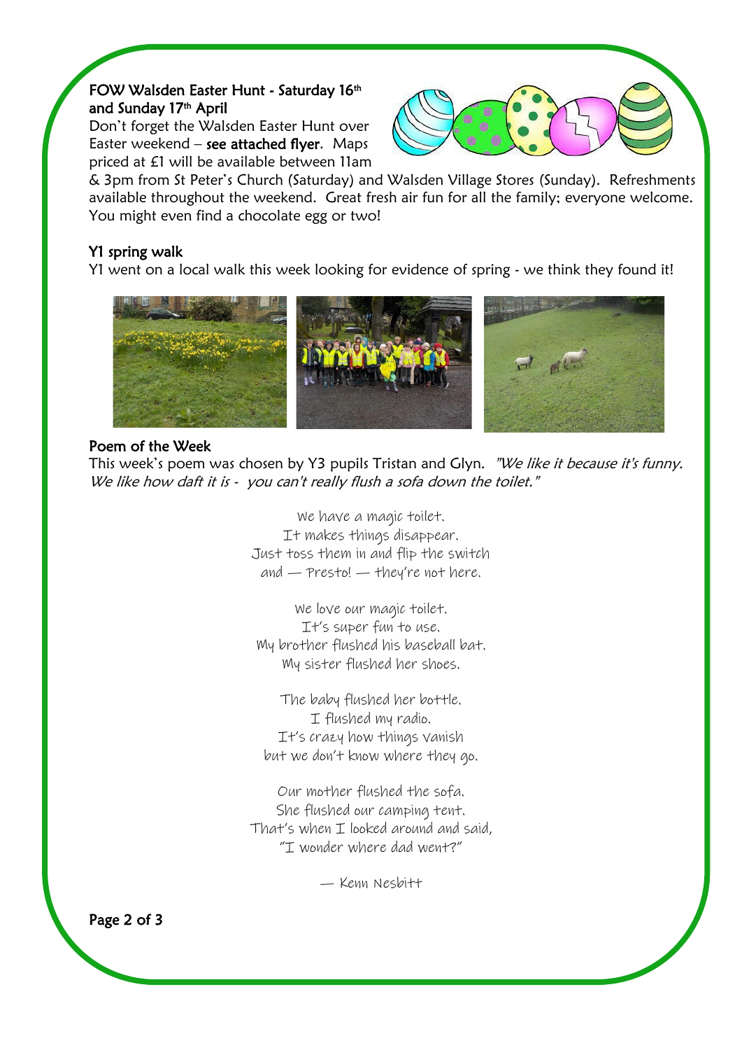## I FOW Walsden Easter Hunt - Saturday 16th and Sunday 17th April

Don't forget the Walsden Easter Hunt over Easter weekend – see attached flyer. Maps priced at £1 will be available between 11am



& 3pm from St Peter's Church (Saturday) and Walsden Village Stores (Sunday). Refreshments available throughout the weekend. Great fresh air fun for all the family; everyone welcome. You might even find a chocolate egg or two!

## Y1 spring walk

Y1 went on a local walk this week looking for evidence of spring - we think they found it!



## Poem of the Week

This week's poem was chosen by Y3 pupils Tristan and Glyn. "We like it because it's funny. We like how daft it is - you can't really flush a sofa down the toilet."

> We have a magic toilet. It makes things disappear. Just toss them in and flip the switch and — Presto! — they're not here.

We love our magic toilet. It's super fun to use. My brother flushed his baseball bat. My sister flushed her shoes.

The baby flushed her bottle. I flushed my radio. It's crazy how things vanish but we don't know where they go.

Our mother flushed the sofa. She flushed our camping tent. That's when I looked around and said, "T wonder where dad went?"

— Kenn Nesbitt



ś